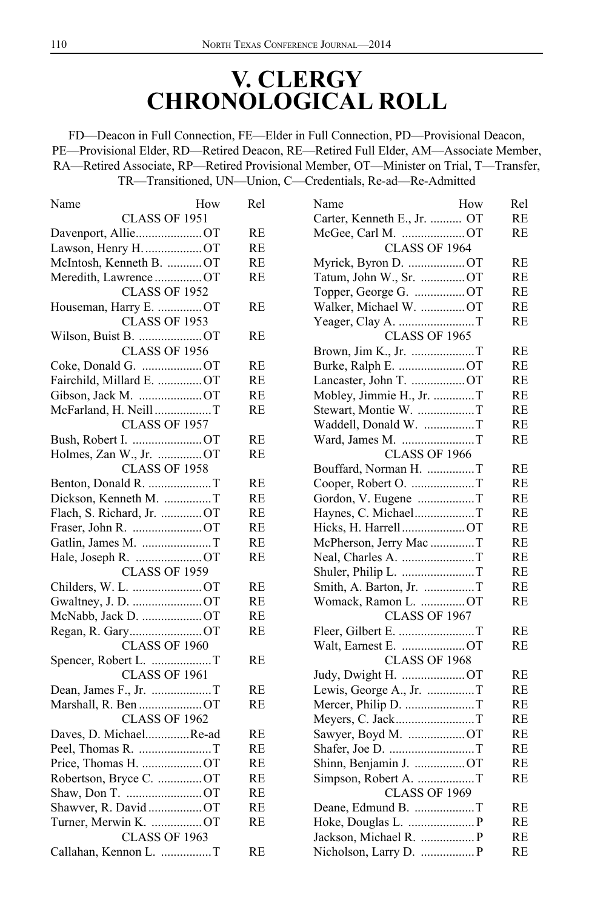## **V. CLERGY CHRONOLOGICAL ROLL**

FD—Deacon in Full Connection, FE—Elder in Full Connection, PD—Provisional Deacon, PE—Provisional Elder, RD—Retired Deacon, RE—Retired Full Elder, AM—Associate Member, RA—Retired Associate, RP—Retired Provisional Member, OT—Minister on Trial, T—Transfer, TR—Transitioned, UN—Union, C—Credentials, Re-ad—Re-Admitted

| How<br>Name                | Rel       | Name<br>How                 | Rel       |
|----------------------------|-----------|-----------------------------|-----------|
| CLASS OF 1951              |           | Carter, Kenneth E., Jr.  OT | RE        |
| Davenport, AllieOT         | <b>RE</b> | McGee, Carl M. OT           | RE        |
| Lawson, Henry H. OT        | RE        | CLASS OF 1964               |           |
| McIntosh, Kenneth B.  OT   | RE        | Myrick, Byron D. OT         | RE        |
| Meredith, Lawrence  OT     | RE        | Tatum, John W., Sr. OT      | <b>RE</b> |
| CLASS OF 1952              |           | Topper, George G. OT        | <b>RE</b> |
| Houseman, Harry E.  OT     | <b>RE</b> | Walker, Michael W. OT       | <b>RE</b> |
| CLASS OF 1953              |           |                             | <b>RE</b> |
| Wilson, Buist B. OT        | RE        | CLASS OF 1965               |           |
| <b>CLASS OF 1956</b>       |           |                             | RE        |
| Coke, Donald G. OT         | RE        |                             | RE        |
| Fairchild, Millard E.  OT  | RE        | Lancaster, John T. OT       | RE        |
| Gibson, Jack M. OT         | RE        | Mobley, Jimmie H., Jr. T    | RE        |
| McFarland, H. Neill T      | <b>RE</b> | Stewart, Montie W. T        | <b>RE</b> |
| <b>CLASS OF 1957</b>       |           |                             | RE        |
| Bush, Robert I. OT         | RE        |                             | RE        |
| Holmes, Zan W., Jr. OT     | <b>RE</b> | <b>CLASS OF 1966</b>        |           |
| CLASS OF 1958              |           | Bouffard, Norman H. T       | RE        |
|                            | RE        | Cooper, Robert O. T         | RE        |
| Dickson, Kenneth M. T      | RE        | Gordon, V. Eugene T         | RE        |
| Flach, S. Richard, Jr.  OT | <b>RE</b> | Haynes, C. MichaelT         | <b>RE</b> |
|                            | RE        | Hicks, H. HarrellOT         | <b>RE</b> |
|                            | RE        | McPherson, Jerry Mac T      | <b>RE</b> |
|                            | RE        |                             | <b>RE</b> |
| CLASS OF 1959              |           |                             | RE        |
| Childers, W. L. OT         | RE        |                             | RE        |
| Gwaltney, J. D. OT         | RE        | Womack, Ramon L. OT         | RE        |
| McNabb, Jack D. OT         | RE        | CLASS OF 1967               |           |
|                            | <b>RE</b> | Fleer, Gilbert E. T         | RE        |
| CLASS OF 1960              |           | Walt, Earnest E. OT         | RE        |
| Spencer, Robert L. T       | RE        | CLASS OF 1968               |           |
| CLASS OF 1961              |           | Judy, Dwight H. OT          | RE        |
|                            | <b>RE</b> | Lewis, George A., Jr. T     | <b>RE</b> |
| Marshall, R. Ben OT        | RE        |                             | RE        |
| CLASS OF 1962              |           | Meyers, C. JackT            | <b>RE</b> |
| Daves, D. MichaelRe-ad     | RE        | Sawyer, Boyd M. OT          | <b>RE</b> |
|                            | RE        |                             | RE        |
|                            | RE        | Shinn, Benjamin J. OT       | RE        |
| Robertson, Bryce C. OT     | RE        | Simpson, Robert A. T        | RE        |
| Shaw, Don T. OT            | <b>RE</b> | <b>CLASS OF 1969</b>        |           |
| Shawver, R. David OT       | RE        |                             | RE        |
| Turner, Merwin K. OT       | RE        |                             | RE        |
| CLASS OF 1963              |           |                             | <b>RE</b> |
| Callahan, Kennon L. T      | <b>RE</b> |                             | <b>RE</b> |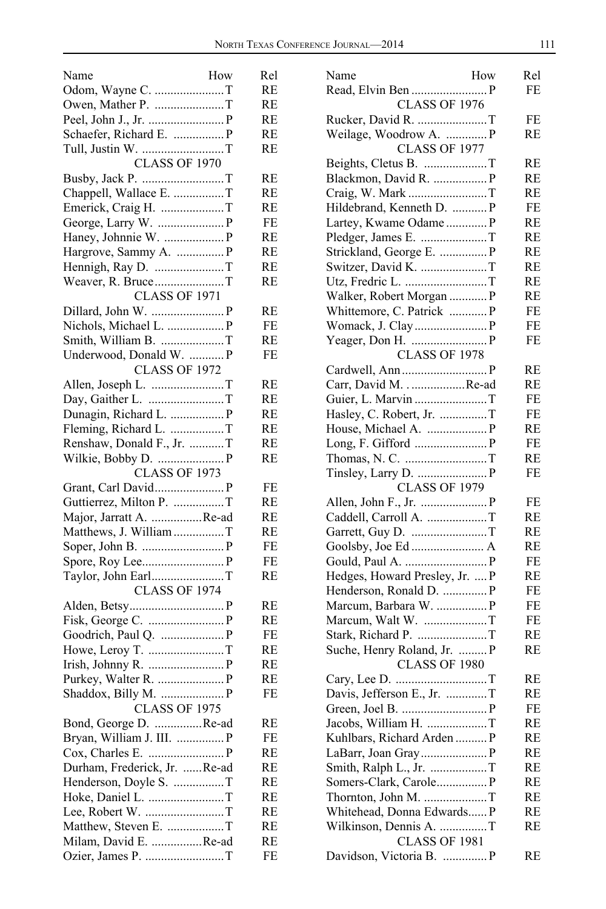| Name<br>How                  | Rel       |
|------------------------------|-----------|
| Odom, Wayne C. T             | RE        |
| Owen, Mather P. T            | RE        |
|                              | <b>RE</b> |
| Schaefer, Richard E.  P      | RE        |
| Tull, Justin W. T            | <b>RE</b> |
| <b>CLASS OF 1970</b>         |           |
|                              | RE        |
| Chappell, Wallace E. T       | RE        |
| Emerick, Craig H. T          | RE        |
|                              | FE        |
| Haney, Johnnie W.  P         | RE        |
| Hargrove, Sammy A.  P        | RE        |
|                              | RE        |
| Weaver, R. BruceT            | RE        |
| <b>CLASS OF 1971</b>         |           |
|                              | RE        |
|                              |           |
|                              | FE        |
| Smith, William B. T          | RE        |
| Underwood, Donald W.  P      | FE        |
| <b>CLASS OF 1972</b>         |           |
|                              | RE        |
| Day, Gaither L. T            | RE        |
|                              | RE        |
| Fleming, Richard L. T        | RE        |
| Renshaw, Donald F., Jr. T    | RE        |
| Wilkie, Bobby D.  P          | RE        |
| <b>CLASS OF 1973</b>         |           |
|                              | FE        |
| Guttierrez, Milton P. T      | RE        |
| Major, Jarratt A. Re-ad      | RE        |
| Matthews, J. William T       | RE        |
|                              | FE        |
|                              | FE        |
| Taylor, John EarlT           | RE        |
| <b>CLASS OF 1974</b>         |           |
|                              | RE        |
|                              |           |
|                              | RE        |
|                              | FE        |
|                              | RE        |
|                              | RE        |
| Purkey, Walter R.  P         | RE        |
| Shaddox, Billy M.  P         | FE        |
| <b>CLASS OF 1975</b>         |           |
| Bond, George D. Re-ad        | RE        |
| Bryan, William J. III.  P    | FE        |
|                              | RE        |
| Durham, Frederick, Jr. Re-ad | RE        |
| Henderson, Doyle S. T        | RE        |
| Hoke, Daniel L. T            | RE        |
|                              | RE        |
|                              | RE        |
| Milam, David E. Re-ad        | RE        |
|                              | FE        |
|                              |           |

| Name<br>How                    | Rel |
|--------------------------------|-----|
|                                | FE  |
| <b>CLASS OF 1976</b>           |     |
| Rucker, David R. T             | FE  |
| Weilage, Woodrow A.  P         | RE  |
| CLASS OF 1977                  |     |
| Beights, Cletus B. T           | RE  |
| Blackmon, David R.  P          | RE  |
|                                |     |
| Craig, W. Mark T               | RE  |
| Hildebrand, Kenneth D.  P      | FE  |
| Lartey, Kwame Odame P          | RE  |
|                                | RE  |
| Strickland, George E.  P       | RE  |
| Switzer, David K. T            | RE  |
| Utz, Fredric L. T              | RE  |
| Walker, Robert Morgan  P       | RE  |
| Whittemore, C. Patrick  P      | FE  |
|                                | FE  |
|                                | FE  |
| <b>CLASS OF 1978</b>           |     |
|                                | RE  |
|                                |     |
| Carr, David MRe-ad             | RE  |
| Guier, L. Marvin T             | FE  |
| Hasley, C. Robert, Jr. T       | FE  |
|                                | RE  |
|                                | FE  |
|                                | RE  |
|                                | FE  |
| <b>CLASS OF 1979</b>           |     |
|                                | FE  |
| Caddell, Carroll A. T          | RE  |
| Garrett, Guy D. T              | RE  |
|                                | RE  |
|                                | FE  |
| Hedges, Howard Presley, Jr.  P | RE  |
| Henderson, Ronald D.  P        | FE  |
| Marcum, Barbara W.  P          | FE  |
|                                |     |
| Marcum, Walt W. T              | FE  |
| Stark, Richard P. T            | RE  |
| Suche, Henry Roland, Jr.  P    | RE  |
| CLASS OF 1980                  |     |
|                                | RE  |
|                                | RE  |
|                                | FE  |
| Jacobs, William H. T           | RE  |
| Kuhlbars, Richard Arden  P     | RE  |
|                                | RE  |
| Smith, Ralph L., Jr. T         | RE  |
|                                | RE  |
| Thornton, John M. T            | RE  |
| Whitehead, Donna Edwards P     | RE  |
|                                |     |
| Wilkinson, Dennis A. T         | RE  |
| CLASS OF 1981                  |     |
| Davidson, Victoria B.  P       | RE  |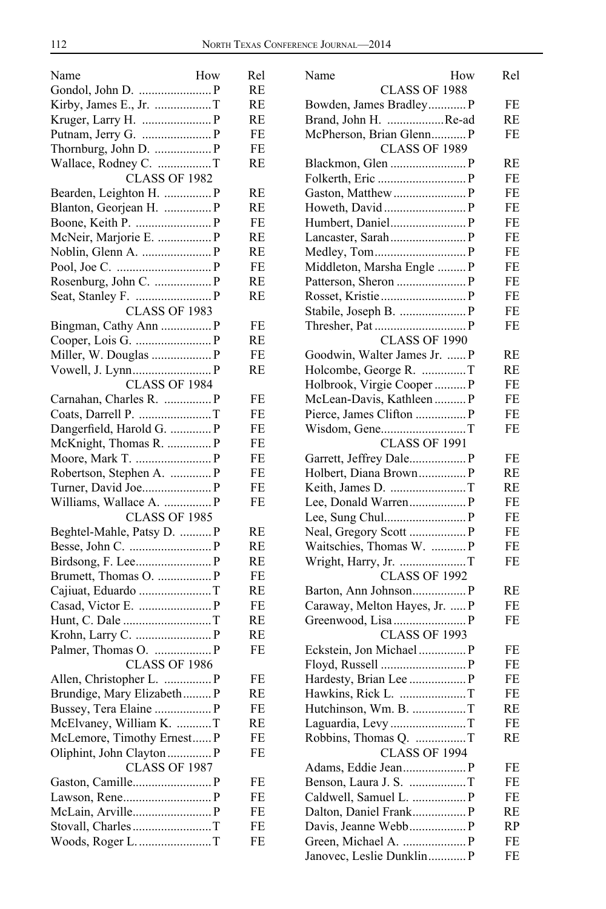| Name<br>How                | Rel |
|----------------------------|-----|
|                            | RE  |
|                            | RE  |
|                            | RE  |
|                            | FE  |
| Thornburg, John D.  P      | FE  |
| Wallace, Rodney C. T       | RE  |
| CLASS OF 1982              |     |
|                            | RE  |
| Bearden, Leighton H.  P    |     |
| Blanton, Georjean H.  P    | RE  |
| Boone, Keith P.  P         | FE  |
| McNeir, Marjorie E.  P     | RE  |
|                            | RE  |
|                            | FE  |
|                            | RE  |
|                            | RE  |
| CLASS OF 1983              |     |
| Bingman, Cathy Ann  P      | FE  |
|                            | RE  |
|                            | FE  |
|                            | RE  |
| CLASS OF 1984              |     |
| Carnahan, Charles R.  P    | FE  |
|                            | FE  |
| Dangerfield, Harold G.  P  | FE  |
| McKnight, Thomas R.  P     | FE  |
|                            |     |
| Moore, Mark T.  P          | FE  |
| Robertson, Stephen A.  P   | FE  |
| Turner, David Joe P        | FE  |
| Williams, Wallace A.  P    | FE  |
| CLASS OF 1985              |     |
| Beghtel-Mahle, Patsy D.  P | RE  |
|                            | RE  |
|                            | RE  |
|                            | FE  |
| Cajiuat, Eduardo T         | RE  |
|                            | FE  |
|                            | RE  |
|                            | RE  |
|                            | FE  |
| CLASS OF 1986              |     |
| Allen, Christopher L.  P   | FE  |
| Brundige, Mary Elizabeth P | RE  |
|                            | FE  |
|                            |     |
| McElvaney, William K. T    | RE  |
| McLemore, Timothy Ernest P | FE  |
| Oliphint, John Clayton  P  | FE  |
| CLASS OF 1987              |     |
|                            | FE  |
|                            | FE  |
|                            | FE  |
|                            | FE  |
| Woods, Roger L. T          | FE  |
|                            |     |

| Name                          | How<br>Rel |  |
|-------------------------------|------------|--|
| CLASS OF 1988                 |            |  |
| Bowden, James Bradley P       | FE         |  |
| Brand, John H. Re-ad          | RE         |  |
| McPherson, Brian Glenn P      | FE         |  |
| <b>CLASS OF 1989</b>          |            |  |
|                               | RE         |  |
|                               | FE         |  |
|                               | FE         |  |
|                               | FE         |  |
|                               | FE         |  |
|                               | <b>FE</b>  |  |
|                               | FE         |  |
| Middleton, Marsha Engle  P    | FE         |  |
|                               | FE         |  |
|                               | FE         |  |
| Stabile, Joseph B.  P         | FE         |  |
|                               | FE         |  |
| <b>CLASS OF 1990</b>          |            |  |
|                               |            |  |
| Goodwin, Walter James Jr.  P  | RE         |  |
| Holcombe, George R. T         | RE         |  |
| Holbrook, Virgie Cooper  P    | FE         |  |
| McLean-Davis, Kathleen  P     | FE         |  |
| Pierce, James Clifton  P      | FE         |  |
|                               | FE         |  |
| <b>CLASS OF 1991</b>          |            |  |
| Garrett, Jeffrey Dale P       | FE         |  |
| Holbert, Diana Brown P        | RE         |  |
|                               | RE         |  |
|                               | FE         |  |
|                               | FE         |  |
|                               | FE         |  |
| Waitschies, Thomas W.  P      | FE         |  |
| Wright, Harry, Jr. T          | FE         |  |
| <b>CLASS OF 1992</b>          |            |  |
|                               | RE         |  |
| Caraway, Melton Hayes, Jr.  P | FE         |  |
|                               | FE         |  |
| <b>CLASS OF 1993</b>          |            |  |
| Eckstein, Jon Michael  P      | FE         |  |
|                               | FE         |  |
|                               | FE         |  |
|                               | FE         |  |
| Hutchinson, Wm. B. T          | RE         |  |
| Laguardia, LevyT              | FE         |  |
| Robbins, Thomas Q. T          | RE         |  |
| <b>CLASS OF 1994</b>          |            |  |
|                               | FE         |  |
| Benson, Laura J. S. T         | FE         |  |
|                               | FE         |  |
| Dalton, Daniel Frank P        | RE         |  |
|                               | <b>RP</b>  |  |
|                               | FE         |  |
| Janovec, Leslie Dunklin P     | FE         |  |
|                               |            |  |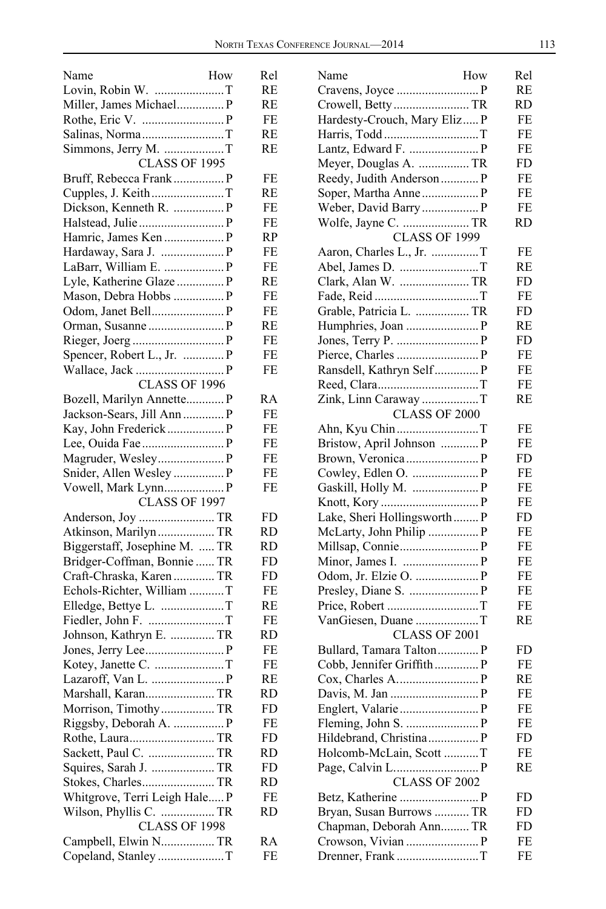| How<br>Name                   | Rel       |
|-------------------------------|-----------|
| Lovin, Robin W. T             | RE        |
| Miller, James Michael P       | RE        |
|                               | FE        |
|                               | RE        |
| Simmons, Jerry M. T           | <b>RE</b> |
| CLASS OF 1995                 |           |
| Bruff, Rebecca Frank  P       | FE        |
| Cupples, J. KeithT            | RE        |
| Dickson, Kenneth R.  P        | FE        |
|                               | FE        |
| Hamric, James Ken  P          | RP        |
| Hardaway, Sara J.  P          | FE        |
| LaBarr, William E.  P         | FE        |
|                               | RE        |
| Mason, Debra Hobbs  P         | FE        |
|                               | FE        |
|                               | RE        |
|                               | FE        |
| Spencer, Robert L., Jr.  P    | FE        |
|                               | FE        |
| <b>CLASS OF 1996</b>          |           |
| Bozell, Marilyn Annette P     | RA        |
| Jackson-Sears, Jill Ann  P    | FE        |
| Kay, John Frederick  P        | FE        |
|                               | FE        |
|                               | FE        |
| Snider, Allen Wesley  P       | FE        |
|                               | FE        |
| CLASS OF 1997                 |           |
|                               | FD        |
| Atkinson, Marilyn TR          | RD        |
| Biggerstaff, Josephine M.  TR | RD        |
| Bridger-Coffman, Bonnie  TR   | FD        |
| Craft-Chraska, Karen  TR      | FD        |
| Echols-Richter, William T     | FE        |
| Elledge, Bettye L. T          | RE        |
|                               | FE        |
| Johnson, Kathryn E.  TR       | RD        |
|                               | FE        |
|                               | FE        |
| Lazaroff, Van L.  P           | RE        |
|                               | RD        |
| Morrison, TimothyTR           | FD.       |
| Riggsby, Deborah A.  P        | FE        |
| Rothe, Laura TR               | FD        |
|                               | RD        |
|                               | FD        |
|                               | RD        |
| Whitgrove, Terri Leigh Hale P | FE        |
| Wilson, Phyllis C.  TR        | RD        |
| CLASS OF 1998                 |           |
| Campbell, Elwin N TR          | RA        |
| Copeland, Stanley T           | FE        |
|                               |           |

| Name<br>How                  | Rel       |
|------------------------------|-----------|
|                              | RE        |
| Crowell, Betty TR            | RD        |
| Hardesty-Crouch, Mary Eliz P | FE        |
|                              | FE        |
|                              | FE        |
| Meyer, Douglas A.  TR        | FD        |
| Reedy, Judith Anderson  P    | FE        |
| Soper, Martha Anne  P        | FE        |
| Weber, David Barry  P        | FE        |
|                              | RD        |
| <b>CLASS OF 1999</b>         |           |
|                              | FE        |
|                              | RE        |
| Clark, Alan W.  TR           | FD        |
|                              | FE        |
| Grable, Patricia L.  TR      | FD        |
|                              | RE        |
|                              | FD        |
|                              | FE        |
| Ransdell, Kathryn Self P     | FE        |
|                              | FE        |
| Zink, Linn Caraway T         | RE        |
| CLASS OF 2000                |           |
| Ahn, Kyu ChinT               | FE        |
| Bristow, April Johnson  P    | FE        |
|                              | FD        |
|                              | FE        |
| Gaskill, Holly M.  P         | FE        |
|                              | FE        |
| Lake, Sheri Hollingsworth P  | FD        |
| McLarty, John Philip  P      | FE        |
|                              | FE        |
|                              | FE        |
| Odom, Jr. Elzie O.  P        | FE        |
| Price, Robert T              | FE<br>FE  |
| VanGiesen, Duane T           | RE        |
| CLASS OF 2001                |           |
|                              | FD        |
| Cobb, Jennifer Griffith P    | FE        |
|                              | <b>RE</b> |
|                              | FE        |
|                              | FE        |
|                              | FE        |
| Hildebrand, Christina P      | FD        |
| Holcomb-McLain, Scott T      | FE        |
|                              | RE        |
| <b>CLASS OF 2002</b>         |           |
|                              | FD        |
| Bryan, Susan Burrows  TR     | FD        |
| Chapman, Deborah Ann TR      | FD        |
|                              | FE        |
| Drenner, Frank T             | FE        |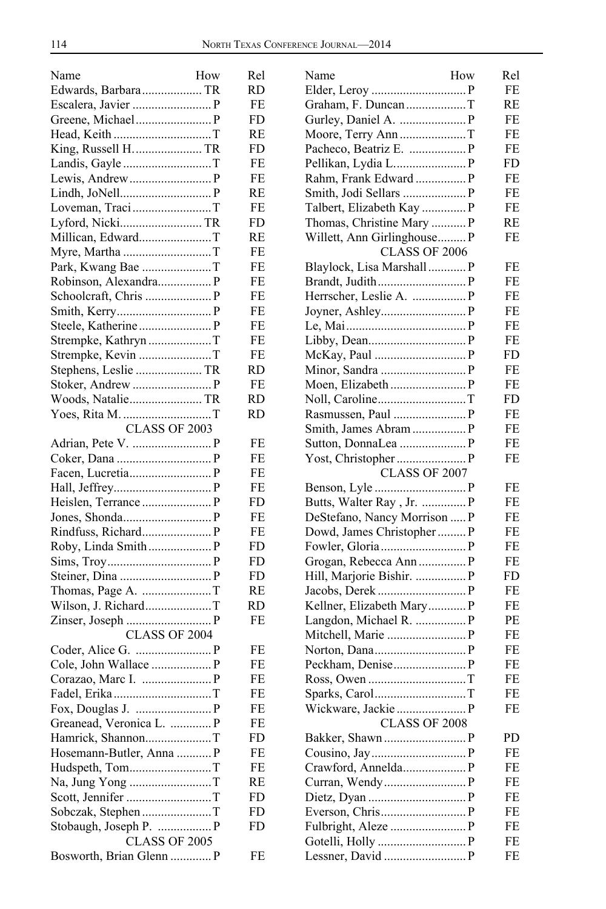| Name                     | How | Rel      |
|--------------------------|-----|----------|
| Edwards, Barbara TR      |     | RD       |
|                          |     | FE       |
| Greene, Michael P        |     | FD       |
|                          |     | RE       |
| King, Russell H.  TR     |     | FD       |
|                          |     | FE       |
|                          |     | FE       |
|                          |     | RE       |
| Loveman, TraciT          |     | FE       |
| Lyford, NickiTR          |     | FD       |
| Millican, EdwardT        |     | RE       |
| Myre, Martha T           |     | FE       |
| Park, Kwang Bae T        |     | FE       |
|                          |     | FE       |
| Schoolcraft, Chris  P    |     | FE       |
|                          |     | FE       |
|                          |     | FE       |
| Strempke, Kathryn T      |     | FE       |
| Strempke, Kevin T        |     | FE       |
| Stephens, Leslie  TR     |     | RD       |
|                          |     | FE       |
| Woods, Natalie TR        |     | RD       |
| Yoes, Rita M. T          |     | RD       |
| CLASS OF 2003            |     |          |
|                          |     | FE       |
|                          |     | FE       |
|                          |     | FE       |
|                          |     | FE       |
|                          |     | FD       |
|                          |     | FE       |
|                          |     | FE       |
| Roby, Linda Smith P      |     | FD       |
|                          |     | FD       |
|                          |     | FD       |
|                          |     | RE       |
| Wilson, J. RichardT      |     | RD       |
|                          |     | FE       |
| <b>CLASS OF 2004</b>     |     |          |
|                          |     | FE       |
|                          |     | FE<br>FE |
|                          |     | FE       |
|                          |     | FE       |
| Greanead, Veronica L.  P |     | FE       |
| Hamrick, ShannonT        |     | FD       |
| Hosemann-Butler, Anna  P |     | FE       |
| Hudspeth, TomT           |     | FE       |
| Na, Jung Yong T          |     | RE       |
|                          |     | FD       |
| Sobczak, Stephen T       |     | FD       |
| Stobaugh, Joseph P.  P   |     | FD       |
| CLASS OF 2005            |     |          |
| Bosworth, Brian Glenn  P |     | FE       |
|                          |     |          |

| Name                         | How | Rel |
|------------------------------|-----|-----|
|                              |     | FE  |
| Graham, F. DuncanT           |     | RE  |
|                              |     | FE  |
| Moore, Terry AnnT            |     | FE  |
|                              |     | FE  |
|                              |     | FD  |
| Rahm, Frank Edward  P        |     | FE  |
| Smith, Jodi Sellars  P       |     | FE  |
| Talbert, Elizabeth Kay  P    |     | FE  |
| Thomas, Christine Mary  P    |     | RE  |
| Willett, Ann Girlinghouse P  |     | FE  |
| <b>CLASS OF 2006</b>         |     |     |
| Blaylock, Lisa Marshall P    |     | FE  |
|                              |     | FE  |
| Herrscher, Leslie A.  P      |     | FE  |
|                              |     | FE  |
|                              |     | FE  |
|                              |     | FE  |
|                              |     | FD  |
|                              |     | FE  |
|                              |     | FE  |
| Noll, CarolineT              |     | FD  |
|                              |     | FE  |
|                              |     | FE  |
|                              |     | FE  |
|                              |     | FE  |
| CLASS OF 2007                |     |     |
|                              |     | FE  |
| Butts, Walter Ray, Jr.  P    |     | FE  |
| DeStefano, Nancy Morrison  P |     | FE  |
| Dowd, James Christopher  P   |     | FE  |
|                              |     | FE  |
| Grogan, Rebecca Ann  P       |     | FE  |
| Hill, Marjorie Bishir.  P    |     | FD  |
|                              |     | FE  |
| Kellner, Elizabeth Mary P    |     | FE  |
| Langdon, Michael R.  P       |     | PЕ  |
| Mitchell, Marie  P           |     | FE  |
|                              |     | FE  |
|                              |     | FE  |
|                              |     | FE  |
|                              |     | FE  |
|                              |     | FE  |
| CLASS OF 2008                |     |     |
|                              |     | PD  |
|                              |     | FE  |
| Crawford, Annelda P          |     | FE  |
|                              |     | FЕ  |
|                              |     | FЕ  |
|                              |     | FЕ  |
|                              |     | FЕ  |
|                              |     | FE  |
|                              |     | FE  |
|                              |     |     |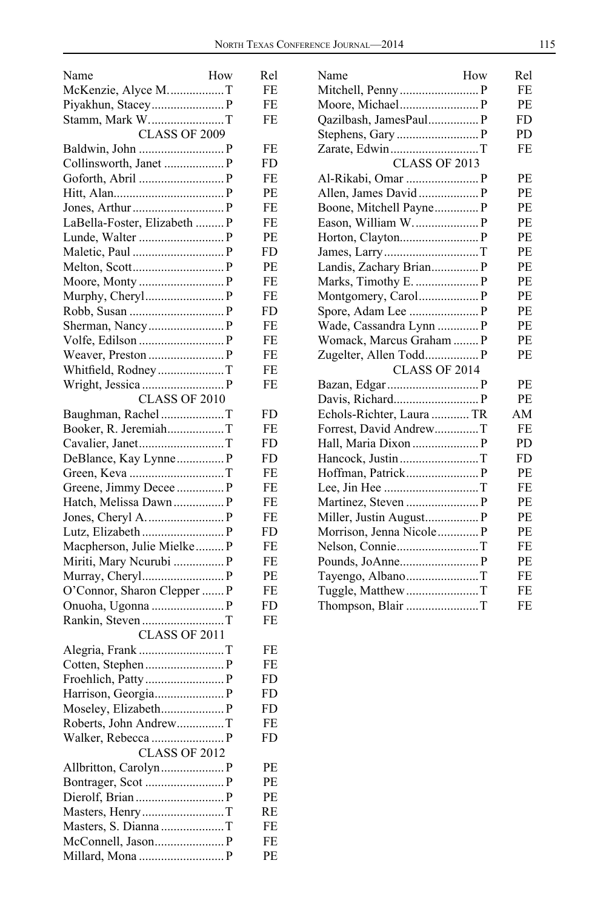| How<br>Name                              | Rel      |
|------------------------------------------|----------|
| McKenzie, Alyce MT                       | FE       |
|                                          | FE       |
| Stamm, Mark WT                           | FE       |
| <b>CLASS OF 2009</b>                     |          |
|                                          | FE       |
|                                          | FD.      |
| Goforth, Abril  P                        | FE       |
|                                          | PE       |
|                                          | FE       |
| LaBella-Foster, Elizabeth  P             | FE       |
|                                          | PЕ       |
|                                          | FD       |
|                                          | PЕ       |
|                                          | FE       |
| Murphy, Cheryl P                         | FE       |
|                                          | FD       |
|                                          | FE       |
|                                          | FE       |
| Weaver, Preston  P                       | FE       |
| Whitfield, RodneyT                       | FE       |
| Wright, Jessica  P                       | FE       |
| <b>CLASS OF 2010</b>                     |          |
| Baughman, Rachel T                       | FD       |
| Booker, R. JeremiahT                     | FE       |
| Cavalier, JanetT                         | FD       |
| DeBlance, Kay Lynne P                    | FD       |
|                                          | FE       |
| Greene, Jimmy Decee  P                   | FE       |
| Hatch, Melissa Dawn P                    | FE       |
|                                          |          |
|                                          | FE<br>FD |
| Macpherson, Julie Mielke P               | FE       |
|                                          | FE       |
| Miriti, Mary Neurubi  P                  |          |
|                                          | PЕ       |
| O'Connor, Sharon Clepper  P              | FE       |
|                                          | FD<br>FE |
| Rankin, Steven T<br><b>CLASS OF 2011</b> |          |
|                                          |          |
| Alegria, Frank T                         | FE       |
|                                          | FE       |
|                                          | FD       |
|                                          | FD       |
| Moseley, Elizabeth P                     | FD       |
| Roberts, John AndrewT                    | FE       |
| Walker, Rebecca  P                       | FD.      |
| <b>CLASS OF 2012</b>                     |          |
|                                          | PЕ       |
|                                          | PЕ       |
|                                          | PЕ       |
|                                          | RE       |
| Masters, S. Dianna T                     | FE       |
|                                          | FE       |
| Millard, Mona  P                         | PE       |

| Name                      | How | Rel       |
|---------------------------|-----|-----------|
|                           |     | FE        |
| Moore, Michael P          |     | <b>PE</b> |
| Qazilbash, JamesPaul P    |     | FD        |
|                           |     | PD.       |
|                           |     | FE        |
| CLASS OF 2013             |     |           |
|                           |     | PE        |
| Allen, James David  P     |     | PE        |
| Boone, Mitchell Payne P   |     | PE        |
| Eason, William W.  P      |     | PE        |
|                           |     | PE        |
|                           |     | PE        |
| Landis, Zachary Brian P   |     | PE        |
| Marks, Timothy E.  P      |     | <b>PE</b> |
| Montgomery, Carol P       |     | PE        |
| Spore, Adam Lee  P        |     | PE        |
|                           |     | PE        |
| Womack, Marcus Graham  P  |     | PE        |
|                           |     | PE        |
| CLASS OF 2014             |     |           |
|                           |     | PE        |
|                           |     | PE        |
| Echols-Richter, Laura  TR |     | AM        |
| Forrest, David AndrewT    |     | FE        |
|                           |     | PD        |
| Hancock, Justin T         |     | FD.       |
|                           |     | PE        |
|                           |     | FE        |
| Martinez, Steven  P       |     | PE        |
| Miller, Justin August P   |     | <b>PE</b> |
| Morrison, Jenna Nicole P  |     | PE        |
|                           |     | FE        |
|                           |     | PE        |
| Tayengo, AlbanoT          |     | FE        |
|                           |     | FF.       |
| Thompson, Blair T         |     | FE        |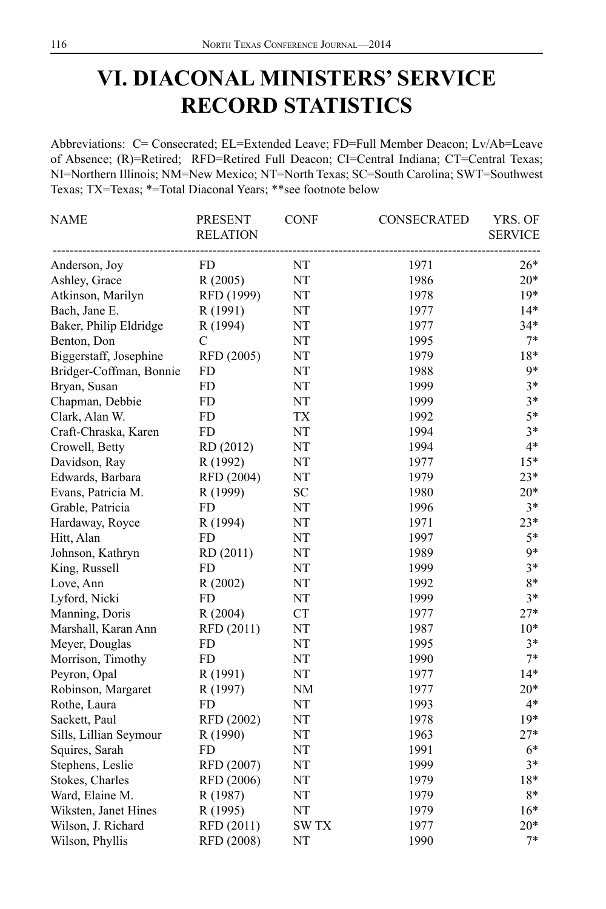## **VI. DIACONAL MINISTERS' SERVICE RECORD STATISTICS**

Abbreviations: C= Consecrated; EL=Extended Leave; FD=Full Member Deacon; Lv/Ab=Leave of Absence; (R)=Retired; RFD=Retired Full Deacon; CI=Central Indiana; CT=Central Texas; NI=Northern Illinois; NM=New Mexico; NT=North Texas; SC=South Carolina; SWT=Southwest Texas; TX=Texas; \*=Total Diaconal Years; \*\*see footnote below

| <b>NAME</b>             | <b>PRESENT</b><br><b>RELATION</b> | <b>CONF</b> | CONSECRATED | YRS. OF<br><b>SERVICE</b> |
|-------------------------|-----------------------------------|-------------|-------------|---------------------------|
| Anderson, Joy           | FD.                               | NT          | 1971        | $26*$                     |
| Ashley, Grace           | R(2005)                           | NT          | 1986        | $20*$                     |
| Atkinson, Marilyn       | RFD (1999)                        | NT          | 1978        | $19*$                     |
| Bach, Jane E.           | R (1991)                          | NT          | 1977        | $14*$                     |
| Baker, Philip Eldridge  | R (1994)                          | NT          | 1977        | $34*$                     |
| Benton, Don             | C                                 | NT          | 1995        | $7*$                      |
| Biggerstaff, Josephine  | RFD (2005)                        | $\rm{NT}$   | 1979        | $18*$                     |
| Bridger-Coffman, Bonnie | <b>FD</b>                         | NT          | 1988        | $9*$                      |
| Bryan, Susan            | FD                                | NT          | 1999        | $3*$                      |
| Chapman, Debbie         | <b>FD</b>                         | NT          | 1999        | $3*$                      |
| Clark, Alan W.          | <b>FD</b>                         | <b>TX</b>   | 1992        | $5*$                      |
| Craft-Chraska, Karen    | <b>FD</b>                         | NT          | 1994        | $3*$                      |
| Crowell, Betty          | RD (2012)                         | NT          | 1994        | $4*$                      |
| Davidson, Ray           | R (1992)                          | NT          | 1977        | $15*$                     |
| Edwards, Barbara        | RFD (2004)                        | NT          | 1979        | $23*$                     |
| Evans, Patricia M.      | R (1999)                          | ${\rm SC}$  | 1980        | $20*$                     |
| Grable, Patricia        | FD                                | NT          | 1996        | $3*$                      |
| Hardaway, Royce         | R (1994)                          | NT          | 1971        | $23*$                     |
| Hitt, Alan              | FD                                | NT          | 1997        | $5*$                      |
| Johnson, Kathryn        | RD (2011)                         | NT          | 1989        | 9*                        |
| King, Russell           | <b>FD</b>                         | $\rm{NT}$   | 1999        | $3*$                      |
| Love, Ann               | R(2002)                           | NT          | 1992        | 8*                        |
| Lyford, Nicki           | <b>FD</b>                         | NT          | 1999        | $3*$                      |
| Manning, Doris          | R (2004)                          | <b>CT</b>   | 1977        | $27*$                     |
| Marshall, Karan Ann     | RFD (2011)                        | NT          | 1987        | $10*$                     |
| Meyer, Douglas          | <b>FD</b>                         | NT          | 1995        | $3*$                      |
| Morrison, Timothy       | <b>FD</b>                         | NT          | 1990        | $7*$                      |
| Peyron, Opal            | R (1991)                          | NT          | 1977        | $14*$                     |
| Robinson, Margaret      | R (1997)                          | <b>NM</b>   | 1977        | $20*$                     |
| Rothe, Laura            | <b>FD</b>                         | $\rm{NT}$   | 1993        | $4*$                      |
| Sackett, Paul           | RFD (2002)                        | NT          | 1978        | $19*$                     |
| Sills, Lillian Seymour  | R (1990)                          | NT          | 1963        | $27*$                     |
| Squires, Sarah          | FD                                | NT          | 1991        | $6*$                      |
| Stephens, Leslie        | RFD (2007)                        | NT          | 1999        | $3*$                      |
| Stokes, Charles         | RFD (2006)                        | $\rm{NT}$   | 1979        | 18*                       |
| Ward, Elaine M.         | R (1987)                          | NT          | 1979        | 8*                        |
| Wiksten, Janet Hines    | R (1995)                          | NT          | 1979        | $16*$                     |
| Wilson, J. Richard      | RFD (2011)                        | <b>SWTX</b> | 1977        | $20*$                     |
| Wilson, Phyllis         | RFD (2008)                        | NT          | 1990        | $7*$                      |